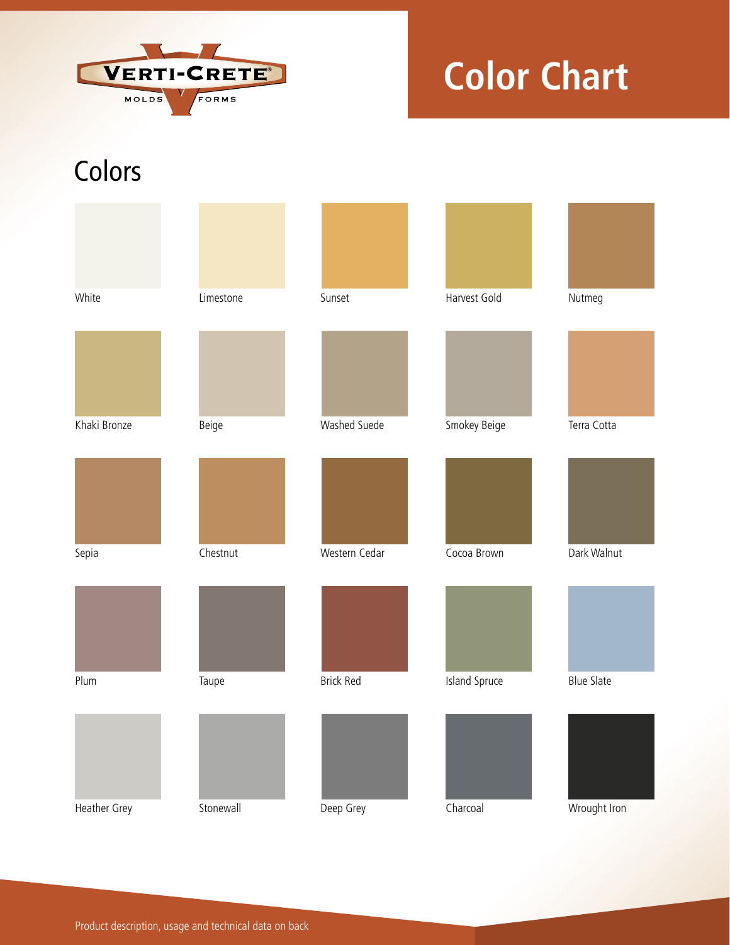

## **Color Chart**

## **Colors**

| White        | Limestone | Sunset           | Harvest Gold  | Nutmeg            |
|--------------|-----------|------------------|---------------|-------------------|
|              |           |                  |               |                   |
| Khaki Bronze | Beige     | Washed Suede     | Smokey Beige  | Terra Cotta       |
|              |           |                  |               |                   |
| Sepia        | Chestnut  | Western Cedar    | Cocoa Brown   | Dark Walnut       |
|              |           |                  |               |                   |
| Plum         | Taupe     | <b>Brick Red</b> | Island Spruce | <b>Blue Slate</b> |
|              |           |                  |               |                   |
| Heather Grey | Stonewall | Deep Grey        | Charcoal      | Wrought Iron      |